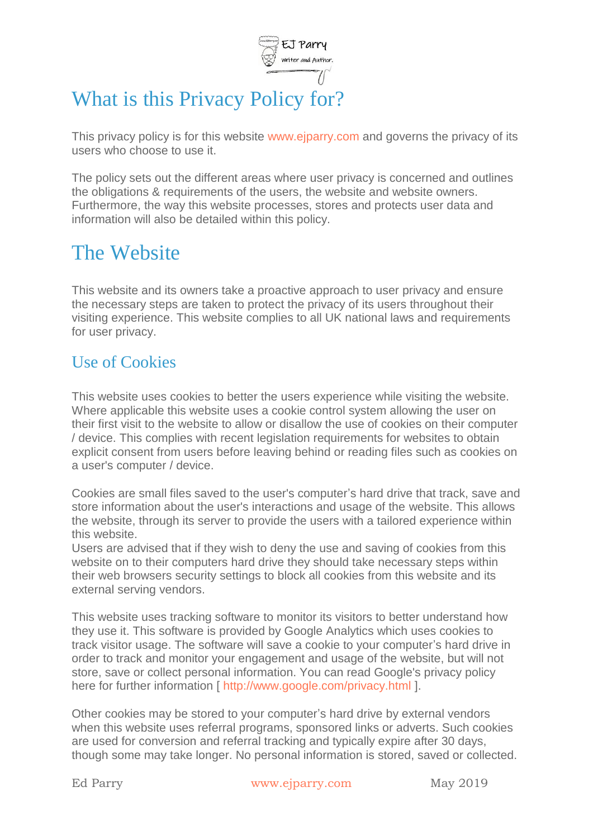

# What is this Privacy Policy for?

This privacy policy is for this website [www.ejparry.com](http://www.ejparry.com/) and governs the privacy of its users who choose to use it.

The policy sets out the different areas where user privacy is concerned and outlines the obligations & requirements of the users, the website and website owners. Furthermore, the way this website processes, stores and protects user data and information will also be detailed within this policy.

### The Website

This website and its owners take a proactive approach to user privacy and ensure the necessary steps are taken to protect the privacy of its users throughout their visiting experience. This website complies to all UK national laws and requirements for user privacy.

#### Use of Cookies

This website uses cookies to better the users experience while visiting the website. Where applicable this website uses a cookie control system allowing the user on their first visit to the website to allow or disallow the use of cookies on their computer / device. This complies with recent legislation requirements for websites to obtain explicit consent from users before leaving behind or reading files such as cookies on a user's computer / device.

Cookies are small files saved to the user's computer's hard drive that track, save and store information about the user's interactions and usage of the website. This allows the website, through its server to provide the users with a tailored experience within this website.

Users are advised that if they wish to deny the use and saving of cookies from this website on to their computers hard drive they should take necessary steps within their web browsers security settings to block all cookies from this website and its external serving vendors.

This website uses tracking software to monitor its visitors to better understand how they use it. This software is provided by Google Analytics which uses cookies to track visitor usage. The software will save a cookie to your computer's hard drive in order to track and monitor your engagement and usage of the website, but will not store, save or collect personal information. You can read Google's privacy policy here for further information [ [http://www.google.com/privacy.html \]](http://www.google.com/privacy.html).

Other cookies may be stored to your computer's hard drive by external vendors when this website uses referral programs, sponsored links or adverts. Such cookies are used for conversion and referral tracking and typically expire after 30 days, though some may take longer. No personal information is stored, saved or collected.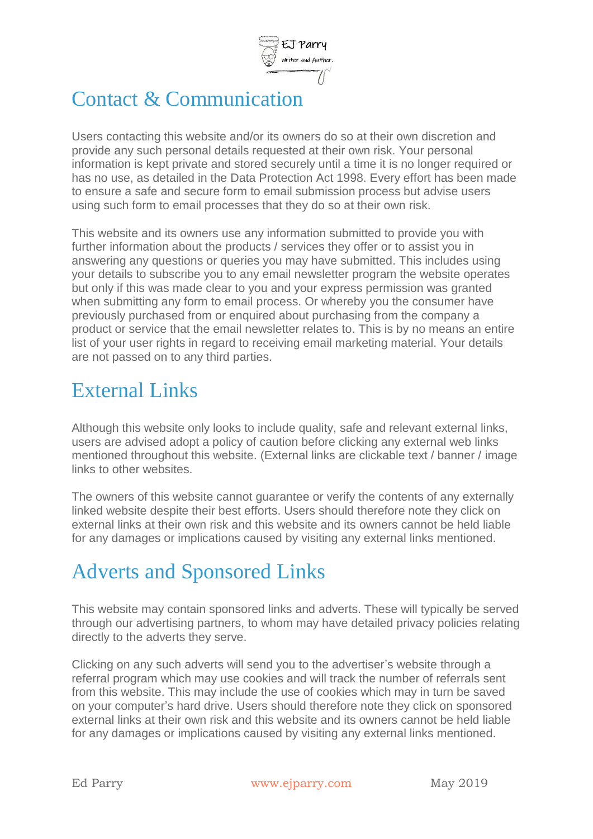

# Contact & Communication

Users contacting this website and/or its owners do so at their own discretion and provide any such personal details requested at their own risk. Your personal information is kept private and stored securely until a time it is no longer required or has no use, as detailed in the Data Protection Act 1998. Every effort has been made to ensure a safe and secure form to email submission process but advise users using such form to email processes that they do so at their own risk.

This website and its owners use any information submitted to provide you with further information about the products / services they offer or to assist you in answering any questions or queries you may have submitted. This includes using your details to subscribe you to any email newsletter program the website operates but only if this was made clear to you and your express permission was granted when submitting any form to email process. Or whereby you the consumer have previously purchased from or enquired about purchasing from the company a product or service that the email newsletter relates to. This is by no means an entire list of your user rights in regard to receiving email marketing material. Your details are not passed on to any third parties.

### External Links

Although this website only looks to include quality, safe and relevant external links, users are advised adopt a policy of caution before clicking any external web links mentioned throughout this website. (External links are clickable text / banner / image links to other websites.

The owners of this website cannot guarantee or verify the contents of any externally linked website despite their best efforts. Users should therefore note they click on external links at their own risk and this website and its owners cannot be held liable for any damages or implications caused by visiting any external links mentioned.

# Adverts and Sponsored Links

This website may contain sponsored links and adverts. These will typically be served through our advertising partners, to whom may have detailed privacy policies relating directly to the adverts they serve.

Clicking on any such adverts will send you to the advertiser's website through a referral program which may use cookies and will track the number of referrals sent from this website. This may include the use of cookies which may in turn be saved on your computer's hard drive. Users should therefore note they click on sponsored external links at their own risk and this website and its owners cannot be held liable for any damages or implications caused by visiting any external links mentioned.